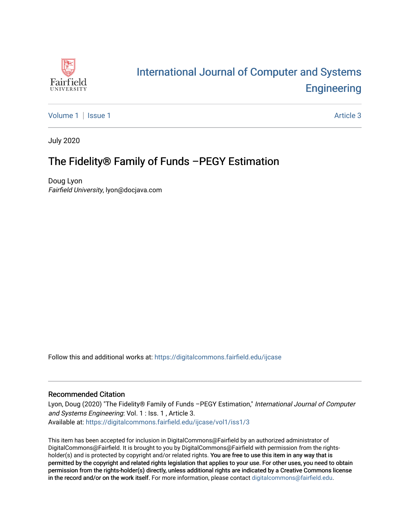

# [International Journal of Computer and Systems](https://digitalcommons.fairfield.edu/ijcase)  **Engineering**

[Volume 1](https://digitalcommons.fairfield.edu/ijcase/vol1) | [Issue 1](https://digitalcommons.fairfield.edu/ijcase/vol1/iss1) Article 3

July 2020

# The Fidelity® Family of Funds –PEGY Estimation

Doug Lyon Fairfield University, lyon@docjava.com

Follow this and additional works at: [https://digitalcommons.fairfield.edu/ijcase](https://digitalcommons.fairfield.edu/ijcase?utm_source=digitalcommons.fairfield.edu%2Fijcase%2Fvol1%2Fiss1%2F3&utm_medium=PDF&utm_campaign=PDFCoverPages) 

#### Recommended Citation

Lyon, Doug (2020) "The Fidelity® Family of Funds -PEGY Estimation," International Journal of Computer and Systems Engineering: Vol. 1 : Iss. 1 , Article 3. Available at: [https://digitalcommons.fairfield.edu/ijcase/vol1/iss1/3](https://digitalcommons.fairfield.edu/ijcase/vol1/iss1/3?utm_source=digitalcommons.fairfield.edu%2Fijcase%2Fvol1%2Fiss1%2F3&utm_medium=PDF&utm_campaign=PDFCoverPages) 

This item has been accepted for inclusion in DigitalCommons@Fairfield by an authorized administrator of DigitalCommons@Fairfield. It is brought to you by DigitalCommons@Fairfield with permission from the rightsholder(s) and is protected by copyright and/or related rights. You are free to use this item in any way that is permitted by the copyright and related rights legislation that applies to your use. For other uses, you need to obtain permission from the rights-holder(s) directly, unless additional rights are indicated by a Creative Commons license in the record and/or on the work itself. For more information, please contact [digitalcommons@fairfield.edu.](mailto:digitalcommons@fairfield.edu)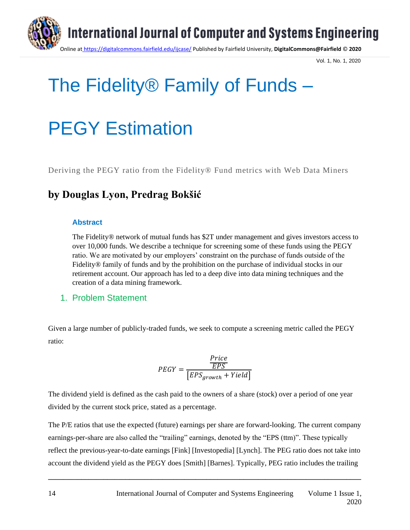

Vol. 1, No. 1, 2020

# The Fidelity® Family of Funds –

# PEGY Estimation

Deriving the PEGY ratio from the Fidelity® Fund metrics with Web Data Miners

# **by Douglas Lyon, Predrag Bokšić**

#### **Abstract**

The Fidelity® network of mutual funds has \$2T under management and gives investors access to over 10,000 funds. We describe a technique for screening some of these funds using the PEGY ratio. We are motivated by our employers' constraint on the purchase of funds outside of the Fidelity® family of funds and by the prohibition on the purchase of individual stocks in our retirement account. Our approach has led to a deep dive into data mining techniques and the creation of a data mining framework.

#### 1. Problem Statement

Given a large number of publicly-traded funds, we seek to compute a screening metric called the PEGY ratio:

$$
PEGY = \frac{\frac{Price}{EPS}}{\left[EPS_{growth} + Yield\right]}
$$

The dividend yield is defined as the cash paid to the owners of a share (stock) over a period of one year divided by the current stock price, stated as a percentage.

The P/E ratios that use the expected (future) earnings per share are forward-looking. The current company earnings-per-share are also called the "trailing" earnings, denoted by the "EPS (ttm)". These typically reflect the previous-year-to-date earnings [Fink] [Investopedia] [Lynch]. The PEG ratio does not take into account the dividend yield as the PEGY does [Smith] [Barnes]. Typically, PEG ratio includes the trailing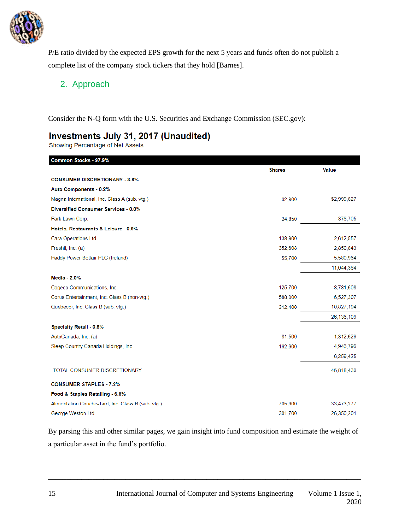

P/E ratio divided by the expected EPS growth for the next 5 years and funds often do not publish a complete list of the company stock tickers that they hold [Barnes].

#### 2. Approach

Consider the N-Q form with the U.S. Securities and Exchange Commission (SEC.gov):

## Investments July 31, 2017 (Unaudited)

Showing Percentage of Net Assets

| Common Stocks - 97.9%                              |               |              |
|----------------------------------------------------|---------------|--------------|
|                                                    | <b>Shares</b> | <b>Value</b> |
| <b>CONSUMER DISCRETIONARY - 3.6%</b>               |               |              |
| <b>Auto Components - 0.2%</b>                      |               |              |
| Magna International, Inc. Class A (sub. vtg.)      | 62,900        | \$2,999,827  |
| <b>Diversified Consumer Services - 0.0%</b>        |               |              |
| Park Lawn Corp.                                    | 24,850        | 378,705      |
| Hotels, Restaurants & Leisure - 0.9%               |               |              |
| Cara Operations Ltd.                               | 138,900       | 2,612,557    |
| Freshii, Inc. (a)                                  | 352,608       | 2,850,843    |
| Paddy Power Betfair PLC (Ireland)                  | 55,700        | 5,580,964    |
|                                                    |               | 11,044,364   |
| Media - 2.0%                                       |               |              |
| Cogeco Communications, Inc.                        | 125,700       | 8,781,608    |
| Corus Entertainment, Inc. Class B (non-vtg.)       | 588,000       | 6,527,307    |
| Quebecor, Inc. Class B (sub. vtg.)                 | 312,400       | 10,827,194   |
|                                                    |               | 26,136,109   |
| Specialty Retail - 0.5%                            |               |              |
| AutoCanada, Inc. (a)                               | 81,500        | 1,312,629    |
| Sleep Country Canada Holdings, Inc.                | 162,600       | 4,946,796    |
|                                                    |               | 6,259,425    |
| TOTAL CONSUMER DISCRETIONARY                       |               | 46,818,430   |
| <b>CONSUMER STAPLES - 7.2%</b>                     |               |              |
| Food & Staples Retailing - 6.8%                    |               |              |
| Alimentation Couche-Tard, Inc. Class B (sub. vtg.) | 705,900       | 33,473,277   |
| George Weston Ltd.                                 | 301,700       | 26,350,201   |

By parsing this and other similar pages, we gain insight into fund composition and estimate the weight of a particular asset in the fund's portfolio.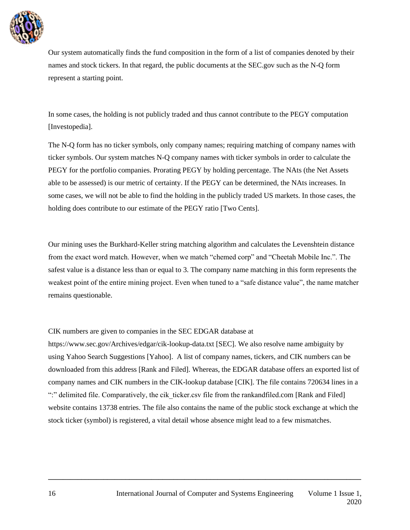

Our system automatically finds the fund composition in the form of a list of companies denoted by their names and stock tickers. In that regard, the public documents at the SEC.gov such as the N-Q form represent a starting point.

In some cases, the holding is not publicly traded and thus cannot contribute to the PEGY computation [Investopedia].

The N-Q form has no ticker symbols, only company names; requiring matching of company names with ticker symbols. Our system matches N-Q company names with ticker symbols in order to calculate the PEGY for the portfolio companies. Prorating PEGY by holding percentage. The NAts (the Net Assets able to be assessed) is our metric of certainty. If the PEGY can be determined, the NAts increases. In some cases, we will not be able to find the holding in the publicly traded US markets. In those cases, the holding does contribute to our estimate of the PEGY ratio [Two Cents].

Our mining uses the Burkhard-Keller string matching algorithm and calculates the Levenshtein distance from the exact word match. However, when we match "chemed corp" and "Cheetah Mobile Inc.". The safest value is a distance less than or equal to 3. The company name matching in this form represents the weakest point of the entire mining project. Even when tuned to a "safe distance value", the name matcher remains questionable.

#### CIK numbers are given to companies in the SEC EDGAR database at

https://www.sec.gov/Archives/edgar/cik-lookup-data.txt [SEC]. We also resolve name ambiguity by using Yahoo Search Suggestions [Yahoo]. A list of company names, tickers, and CIK numbers can be downloaded from this address [Rank and Filed]. Whereas, the EDGAR database offers an exported list of company names and CIK numbers in the CIK-lookup database [CIK]. The file contains 720634 lines in a ":" delimited file. Comparatively, the cik\_ticker.csv file from the rankandfiled.com [Rank and Filed] website contains 13738 entries. The file also contains the name of the public stock exchange at which the stock ticker (symbol) is registered, a vital detail whose absence might lead to a few mismatches.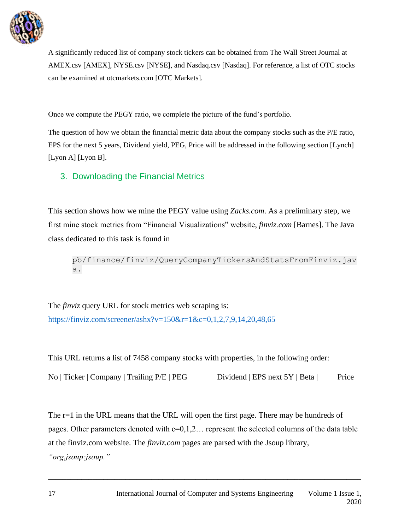

A significantly reduced list of company stock tickers can be obtained from The Wall Street Journal at AMEX.csv [AMEX], NYSE.csv [NYSE], and Nasdaq.csv [Nasdaq]. For reference, a list of OTC stocks can be examined at otcmarkets.com [OTC Markets].

Once we compute the PEGY ratio, we complete the picture of the fund's portfolio.

The question of how we obtain the financial metric data about the company stocks such as the P/E ratio, EPS for the next 5 years, Dividend yield, PEG, Price will be addressed in the following section [Lynch] [Lyon A] [Lyon B].

3. Downloading the Financial Metrics

This section shows how we mine the PEGY value using *Zacks.com*. As a preliminary step, we first mine stock metrics from "Financial Visualizations" website, *finviz.com* [Barnes]. The Java class dedicated to this task is found in

pb/finance/finviz/QueryCompanyTickersAndStatsFromFinviz.jav a.

The *finviz* query URL for stock metrics web scraping is: [https://finviz.com/screener/ashx?v=150&r=1&c=0,1,2,7,9,14,20,48,65](about:blank)

This URL returns a list of 7458 company stocks with properties, in the following order:

No | Ticker | Company | Trailing P/E | PEG Dividend | EPS next 5Y | Beta | Price

The r=1 in the URL means that the URL will open the first page. There may be hundreds of pages. Other parameters denoted with  $c=0,1,2...$  represent the selected columns of the data table at the finviz.com website. The *finviz.com* pages are parsed with the Jsoup library, *"org.jsoup:jsoup."*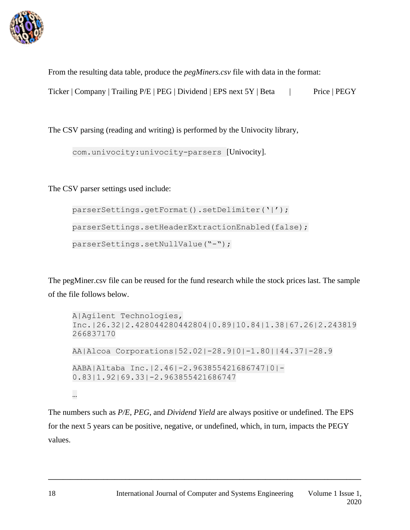

From the resulting data table, produce the *pegMiners.csv* file with data in the format:

Ticker | Company | Trailing P/E | PEG | Dividend | EPS next 5Y | Beta | Price | PEGY

The CSV parsing (reading and writing) is performed by the Univocity library,

com.univocity:univocity-parsers [Univocity].

The CSV parser settings used include:

```
parserSettings.getFormat().setDelimiter('|');
parserSettings.setHeaderExtractionEnabled(false); 
parserSettings.setNullValue("-");
```
The pegMiner.csv file can be reused for the fund research while the stock prices last. The sample of the file follows below.

```
A|Agilent Technologies, 
Inc.|26.32|2.428044280442804|0.89|10.84|1.38|67.26|2.243819
266837170
AA|Alcoa Corporations|52.02|-28.9|0|-1.80||44.37|-28.9
AABA|Altaba Inc.|2.46|-2.963855421686747|0|-
0.83|1.92|69.33|-2.963855421686747
…
```
The numbers such as *P/E*, *PEG*, and *Dividend Yield* are always positive or undefined. The EPS for the next 5 years can be positive, negative, or undefined, which, in turn, impacts the PEGY values.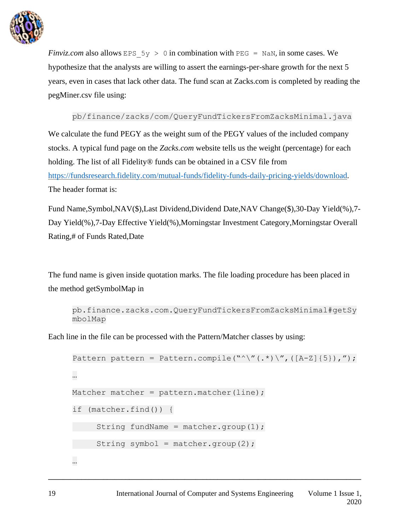

*Finviz.com* also allows EPS  $5y > 0$  in combination with PEG = NaN, in some cases. We hypothesize that the analysts are willing to assert the earnings-per-share growth for the next 5 years, even in cases that lack other data. The fund scan at Zacks.com is completed by reading the pegMiner.csv file using:

pb/finance/zacks/com/QueryFundTickersFromZacksMinimal.java

We calculate the fund PEGY as the weight sum of the PEGY values of the included company stocks. A typical fund page on the *Zacks.com* website tells us the weight (percentage) for each holding. The list of all Fidelity® funds can be obtained in a CSV file from [https://fundsresearch.fidelity.com/mutual-funds/fidelity-funds-daily-pricing-yields/download.](about:blank) The header format is:

Fund Name,Symbol,NAV(\$),Last Dividend,Dividend Date,NAV Change(\$),30-Day Yield(%),7- Day Yield(%),7-Day Effective Yield(%),Morningstar Investment Category,Morningstar Overall Rating,# of Funds Rated,Date

The fund name is given inside quotation marks. The file loading procedure has been placed in the method getSymbolMap in

```
pb.finance.zacks.com.QueryFundTickersFromZacksMinimal#getSy
mbolMap
```
Each line in the file can be processed with the Pattern/Matcher classes by using:

```
Pattern pattern = Pattern.compile("^\"(.*)\",([A-Z]{5}),");
…
Matcher matcher = pattern.matcher(line);
if (matcher.find()) { 
     String fundName = matcher.group(1);
    String symbol = matcher.group(2);
…
```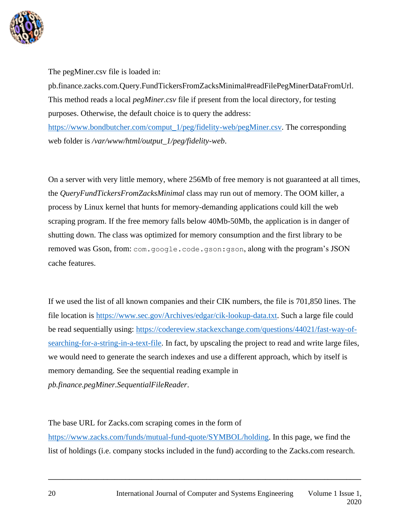

The pegMiner.csv file is loaded in:

pb.finance.zacks.com.Query.FundTickersFromZacksMinimal#readFilePegMinerDataFromUrl. This method reads a local *pegMiner.csv* file if present from the local directory, for testing purposes. Otherwise, the default choice is to query the address:

[https://www.bondbutcher.com/comput\\_1/peg/fidelity-web/pegMiner.csv.](about:blank) The corresponding web folder is */var/www/html/output\_1/peg/fidelity-web*.

On a server with very little memory, where 256Mb of free memory is not guaranteed at all times, the *QueryFundTickersFromZacksMinimal* class may run out of memory. The OOM killer, a process by Linux kernel that hunts for memory-demanding applications could kill the web scraping program. If the free memory falls below 40Mb-50Mb, the application is in danger of shutting down. The class was optimized for memory consumption and the first library to be removed was Gson, from: com.google.code.gson:gson, along with the program's JSON cache features.

If we used the list of all known companies and their CIK numbers, the file is 701,850 lines. The file location is [https://www.sec.gov/Archives/edgar/cik-lookup-data.txt.](about:blank) Such a large file could be read sequentially using: [https://codereview.stackexchange.com/questions/44021/fast-way-of](about:blank)[searching-for-a-string-in-a-text-file.](about:blank) In fact, by upscaling the project to read and write large files, we would need to generate the search indexes and use a different approach, which by itself is memory demanding. See the sequential reading example in *pb.finance.pegMiner.SequentialFileReader*.

The base URL for Zacks.com scraping comes in the form of

[https://www.zacks.com/funds/mutual-fund-quote/SYMBOL/holding.](about:blank) In this page, we find the list of holdings (i.e. company stocks included in the fund) according to the Zacks.com research.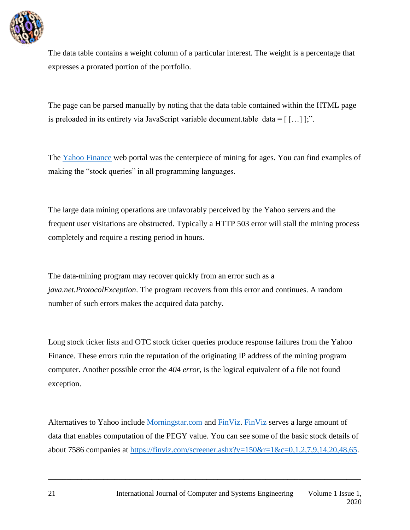

The data table contains a weight column of a particular interest. The weight is a percentage that expresses a prorated portion of the portfolio.

The page can be parsed manually by noting that the data table contained within the HTML page is preloaded in its entirety via JavaScript variable document.table  $data = [$  […] ];".

The [Yahoo Finance](about:blank) web portal was the centerpiece of mining for ages. You can find examples of making the "stock queries" in all programming languages.

The large data mining operations are unfavorably perceived by the Yahoo servers and the frequent user visitations are obstructed. Typically a HTTP 503 error will stall the mining process completely and require a resting period in hours.

The data-mining program may recover quickly from an error such as a *java.net.ProtocolException*. The program recovers from this error and continues. A random number of such errors makes the acquired data patchy.

Long stock ticker lists and OTC stock ticker queries produce response failures from the Yahoo Finance. These errors ruin the reputation of the originating IP address of the mining program computer. Another possible error the *404 error*, is the logical equivalent of a file not found exception.

Alternatives to Yahoo include [Morningstar.com](about:blank) and [FinViz. FinViz](about:blank) serves a large amount of data that enables computation of the PEGY value. You can see some of the basic stock details of about 7586 companies at [https://finviz.com/screener.ashx?v=150&r=1&c=0,1,2,7,9,14,20,48,65.](about:blank)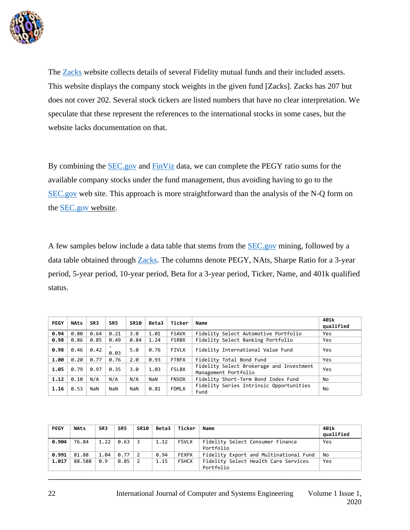

The [Zacks](about:blank) website collects details of several Fidelity mutual funds and their included assets. This website displays the company stock weights in the given fund [Zacks]. Zacks has 207 but does not cover 202. Several stock tickers are listed numbers that have no clear interpretation. We speculate that these represent the references to the international stocks in some cases, but the website lacks documentation on that.

By combining the **SEC**.gov and [FinViz](about:blank) data, we can complete the PEGY ratio sums for the available company stocks under the fund management, thus avoiding having to go to the [SEC.gov](about:blank) web site. This approach is more straightforward than the analysis of the N-Q form on the [SEC.gov](about:blank) website.

A few samples below include a data table that stems from the [SEC.gov](about:blank) mining, followed by a data table obtained through [Zacks.](about:blank) The columns denote PEGY, NAts, Sharpe Ratio for a 3-year period, 5-year period, 10-year period, Beta for a 3-year period, Ticker, Name, and 401k qualified status.

| <b>PEGY</b> | <b>NAts</b> | SR <sub>3</sub> | SR <sub>5</sub> | <b>SR10</b> | <b>Beta3</b> | Ticker       | Name                                                             | 401k<br>qualified |
|-------------|-------------|-----------------|-----------------|-------------|--------------|--------------|------------------------------------------------------------------|-------------------|
| 0.94        | 0.80        | 0.64            | 0.21            | 3.0         | 1.01         | <b>FSAVX</b> | Fidelity Select Automotive Portfolio                             | Yes               |
| 0.98        | 0.86        | 0.85            | 0.49            | 0.84        | 1.24         | <b>FSRBX</b> | Fidelity Select Banking Portfolio                                | Yes               |
| 0.98        | 0.46        | 0.42            | 0.03            | 5.0         | 0.76         | <b>FIVLX</b> | Fidelity International Value Fund                                | Yes               |
| 1.00        | 0.20        | 0.77            | 0.76            | 2.0         | 0.93         | <b>FTBFX</b> | Fidelity Total Bond Fund                                         | Yes               |
| 1.05        | 0.79        | 0.97            | 0.35            | 3.0         | 1.03         | <b>FSLBX</b> | Fidelity Select Brokerage and Investment<br>Management Portfolio | Yes               |
| 1.12        | 0.10        | N/A             | N/A             | N/A         | NaN          | <b>FNSOX</b> | Fidelity Short-Term Bond Index Fund                              | No                |
| 1.16        | 0.53        | NaN             | NaN             | NaN         | 0.81         | <b>FDMLX</b> | Fidelity Series Intrinsic Opportunities<br>Fund                  | No                |

| <b>PEGY</b> | <b>NAts</b> | SR <sub>3</sub> | SR <sub>5</sub> | <b>SR10</b>    | <b>Beta3</b> | Ticker       | Name                                              | 401k<br>qualified |
|-------------|-------------|-----------------|-----------------|----------------|--------------|--------------|---------------------------------------------------|-------------------|
| 0.904       | 76.84       | 1.22            | 0.63            | -3             | 1.12         | <b>FSVLX</b> | Fidelity Select Consumer Finance<br>Portfolio     | Yes               |
| 0.991       | 81.88       | 1.04            | 0.77            | -2             | 0.94         | <b>FEXPX</b> | Fidelity Export and Multinational Fund            | No                |
| 1.017       | 88.588      | 0.9             | 0.85            | $\overline{2}$ | 1.15         | <b>FSHCX</b> | Fidelity Select Health Care Services<br>Portfolio | Yes               |
|             |             |                 |                 |                |              |              |                                                   |                   |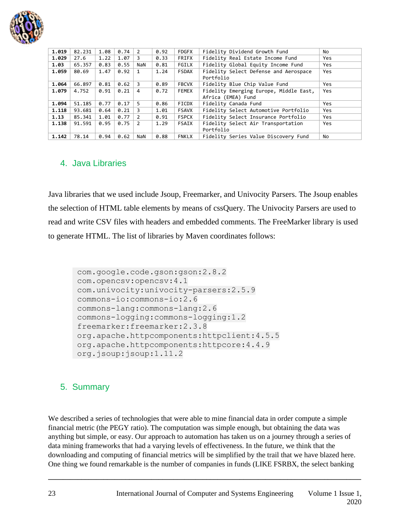

| 1.019 | 82.231 | 1.08 | 0.74 | 2              | 0.92 | <b>FDGFX</b> | Fidelity Dividend Growth Fund          | No. |
|-------|--------|------|------|----------------|------|--------------|----------------------------------------|-----|
| 1.029 | 27.6   | 1.22 | 1.07 | 3              | 0.33 | FRIFX        | Fidelity Real Estate Income Fund       | Yes |
| 1.03  | 65.357 | 0.83 | 0.55 | NaN            | 0.81 | FGILX        | Fidelity Global Equity Income Fund     | Yes |
| 1.059 | 80.69  | 1.47 | 0.92 | 1              | 1.24 | FSDAX        | Fidelity Select Defense and Aerospace  | Yes |
|       |        |      |      |                |      |              | Portfolio                              |     |
| 1.064 | 66.897 | 0.81 | 0.62 | 3              | 0.89 | <b>FBCVX</b> | Fidelity Blue Chip Value Fund          | Yes |
| 1.079 | 4.752  | 0.91 | 0.21 | 4              | 0.72 | FEMEX        | Fidelity Emerging Europe, Middle East, | Yes |
|       |        |      |      |                |      |              | Africa (EMEA) Fund                     |     |
| 1.094 | 51.185 | 0.77 | 0.17 | 5.             | 0.86 | FICDX        | Fidelity Canada Fund                   | Yes |
| 1.118 | 93.681 | 0.64 | 0.21 | 3              | 1.01 | FSAVX        | Fidelity Select Automotive Portfolio   | Yes |
| 1.13  | 85.341 | 1.01 | 0.77 | $\overline{2}$ | 0.91 | <b>FSPCX</b> | Fidelity Select Insurance Portfolio    | Yes |
| 1.138 | 91.591 | 0.95 | 0.75 | $\mathcal{P}$  | 1.29 | <b>FSAIX</b> | Fidelity Select Air Transportation     | Yes |
|       |        |      |      |                |      |              | Portfolio                              |     |
| 1.142 | 78.14  | 0.94 | 0.62 | NaN            | 0.88 | FNKLX        | Fidelity Series Value Discovery Fund   | No  |
|       |        |      |      |                |      |              |                                        |     |

#### 4. Java Libraries

Java libraries that we used include Jsoup, Freemarker, and Univocity Parsers. The Jsoup enables the selection of HTML table elements by means of cssQuery. The Univocity Parsers are used to read and write CSV files with headers and embedded comments. The FreeMarker library is used to generate HTML. The list of libraries by Maven coordinates follows:

```
com.google.code.gson:gson:2.8.2
com.opencsv:opencsv:4.1
com.univocity:univocity-parsers:2.5.9
commons-io:commons-io:2.6
commons-lang:commons-lang:2.6
commons-logging:commons-logging:1.2
freemarker:freemarker:2.3.8
org.apache.httpcomponents:httpclient:4.5.5
org.apache.httpcomponents:httpcore:4.4.9
org.jsoup:jsoup:1.11.2
```
#### 5. Summary

We described a series of technologies that were able to mine financial data in order compute a simple financial metric (the PEGY ratio). The computation was simple enough, but obtaining the data was anything but simple, or easy. Our approach to automation has taken us on a journey through a series of data mining frameworks that had a varying levels of effectiveness. In the future, we think that the downloading and computing of financial metrics will be simplified by the trail that we have blazed here. One thing we found remarkable is the number of companies in funds (LIKE FSRBX, the select banking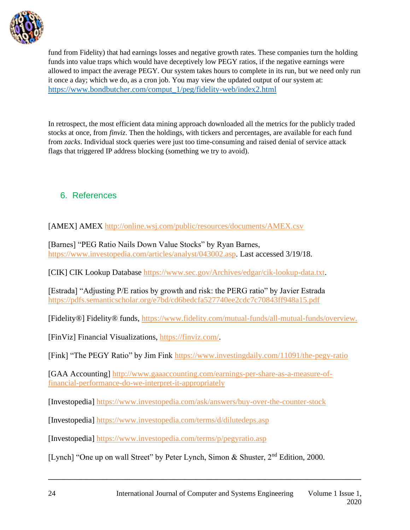

fund from Fidelity) that had earnings losses and negative growth rates. These companies turn the holding funds into value traps which would have deceptively low PEGY ratios, if the negative earnings were allowed to impact the average PEGY. Our system takes hours to complete in its run, but we need only run it once a day; which we do, as a cron job. You may view the updated output of our system at: [https://www.bondbutcher.com/comput\\_1/peg/fidelity-web/index2.html](about:blank)

In retrospect, the most efficient data mining approach downloaded all the metrics for the publicly traded stocks at once, from *finviz*. Then the holdings, with tickers and percentages, are available for each fund from *zacks*. Individual stock queries were just too time-consuming and raised denial of service attack flags that triggered IP address blocking (something we try to avoid).

### 6. References

[AMEX] AMEX [http://online.wsj.com/public/resources/documents/AMEX.csv](about:blank)

[Barnes] "PEG Ratio Nails Down Value Stocks" by Ryan Barnes, [https://www.investopedia.com/articles/analyst/043002.asp.](about:blank) Last accessed 3/19/18.

[CIK] CIK Lookup Database [https://www.sec.gov/Archives/edgar/cik-lookup-data.txt.](about:blank)

[Estrada] "Adjusting P/E ratios by growth and risk: the PERG ratio" by Javier Estrada [https://pdfs.semanticscholar.org/e7bd/cd6bedcfa527740ee2cdc7c70843ff948a15.pdf](about:blank)

[Fidelity®] Fidelity® funds, [https://www.fidelity.com/mutual-funds/all-mutual-funds/overview.](about:blank)

[FinViz] Financial Visualizations, [https://finviz.com/.](about:blank)

[Fink] "The PEGY Ratio" by Jim Fink [https://www.investingdaily.com/11091/the-pegy-ratio](about:blank)

[GAA Accounting] [http://www.gaaaccounting.com/earnings-per-share-as-a-measure-of](about:blank)[financial-performance-do-we-interpret-it-appropriately](about:blank)

[Investopedia] [https://www.investopedia.com/ask/answers/buy-over-the-counter-stock](about:blank)

[Investopedia] [https://www.investopedia.com/terms/d/dilutedeps.asp](about:blank) 

[Investopedia] [https://www.investopedia.com/terms/p/pegyratio.asp](about:blank)

[Lynch] "One up on wall Street" by Peter Lynch, Simon & Shuster, 2<sup>nd</sup> Edition, 2000.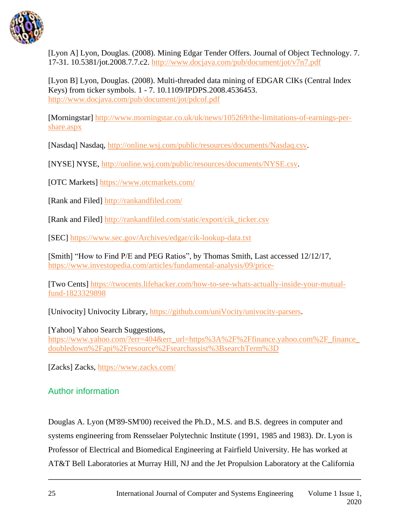

[Lyon A] Lyon, Douglas. (2008). Mining Edgar Tender Offers. Journal of Object Technology. 7. 17-31. 10.5381/jot.2008.7.7.c2. [http://www.docjava.com/pub/document/jot/v7n7.pdf](about:blank)

[Lyon B] Lyon, Douglas. (2008). Multi-threaded data mining of EDGAR CIKs (Central Index Keys) from ticker symbols. 1 - 7. 10.1109/IPDPS.2008.4536453. [http://www.docjava.com/pub/document/jot/pdcof.pdf](about:blank)

[Morningstar] [http://www.morningstar.co.uk/uk/news/105269/the-limitations-of-earnings-per](about:blank)[share.aspx](about:blank)

[Nasdaq] Nasdaq, [http://online.wsj.com/public/resources/documents/Nasdaq.csv.](about:blank)

[NYSE] NYSE, [http://online.wsj.com/public/resources/documents/NYSE.csv.](about:blank)

[OTC Markets] [https://www.otcmarkets.com/](about:blank)

[Rank and Filed] [http://rankandfiled.com/](about:blank)

[Rank and Filed] [http://rankandfiled.com/static/export/cik\\_ticker.csv](about:blank)

[SEC] [https://www.sec.gov/Archives/edgar/cik-lookup-data.txt](about:blank)

[Smith] "How to Find P/E and PEG Ratios", by Thomas Smith, Last accessed 12/12/17, [https://www.investopedia.com/articles/fundamental-analysis/09/price-](about:blank)

[Two Cents] [https://twocents.lifehacker.com/how-to-see-whats-actually-inside-your-mutual](about:blank)[fund-1823329898](about:blank)

[Univocity] Univocity Library, [https://github.com/uniVocity/univocity-parsers.](about:blank)

[Yahoo] Yahoo Search Suggestions, https://www.yahoo.com/?err=404&err\_url=https%3A%2F%2Ffinance.yahoo.com%2F\_finance [doubledown%2Fapi%2Fresource%2Fsearchassist%3BsearchTerm%3D](about:blank)

[Zacks] Zacks, [https://www.zacks.com/](about:blank)

### Author information

Douglas A. Lyon (M'89-SM'00) received the Ph.D., M.S. and B.S. degrees in computer and systems engineering from Rensselaer Polytechnic Institute (1991, 1985 and 1983). Dr. Lyon is Professor of Electrical and Biomedical Engineering at Fairfield University. He has worked at AT&T Bell Laboratories at Murray Hill, NJ and the Jet Propulsion Laboratory at the California